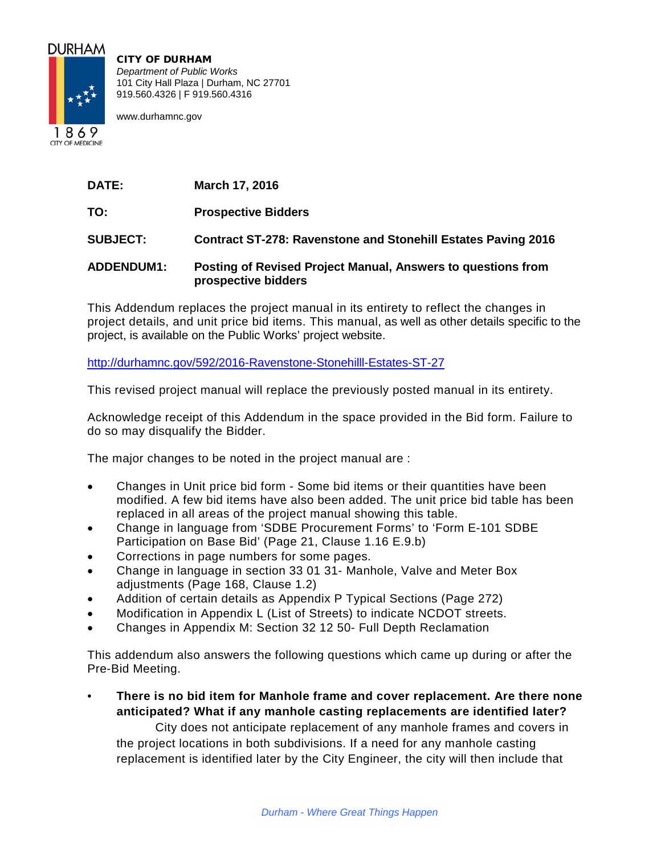

CITY OF DURHAM *Department of Public Works* 101 City Hall Plaza | Durham, NC 27701 919.560.4326 | F 919.560.4316

www.durhamnc.gov

1869 **CITY OF MEDICINE** 

**DATE: March 17, 2016**

**TO: Prospective Bidders**

**SUBJECT: Contract ST-278: Ravenstone and Stonehill Estates Paving 2016**

## **ADDENDUM1: Posting of Revised Project Manual, Answers to questions from prospective bidders**

This Addendum replaces the project manual in its entirety to reflect the changes in project details, and unit price bid items. This manual, as well as other details specific to the project, is available on the Public Works' project website.

<http://durhamnc.gov/592/2016-Ravenstone-Stonehilll-Estates-ST-27>

This revised project manual will replace the previously posted manual in its entirety.

Acknowledge receipt of this Addendum in the space provided in the Bid form. Failure to do so may disqualify the Bidder.

The major changes to be noted in the project manual are :

- Changes in Unit price bid form Some bid items or their quantities have been modified. A few bid items have also been added. The unit price bid table has been replaced in all areas of the project manual showing this table.
- Change in language from 'SDBE Procurement Forms' to 'Form E-101 SDBE Participation on Base Bid' (Page 21, Clause 1.16 E.9.b)
- Corrections in page numbers for some pages.
- Change in language in section 33 01 31- Manhole, Valve and Meter Box adjustments (Page 168, Clause 1.2)
- Addition of certain details as Appendix P Typical Sections (Page 272)
- Modification in Appendix L (List of Streets) to indicate NCDOT streets.
- Changes in Appendix M: Section 32 12 50- Full Depth Reclamation

This addendum also answers the following questions which came up during or after the Pre-Bid Meeting.

• **There is no bid item for Manhole frame and cover replacement. Are there none anticipated? What if any manhole casting replacements are identified later?**

City does not anticipate replacement of any manhole frames and covers in the project locations in both subdivisions. If a need for any manhole casting replacement is identified later by the City Engineer, the city will then include that